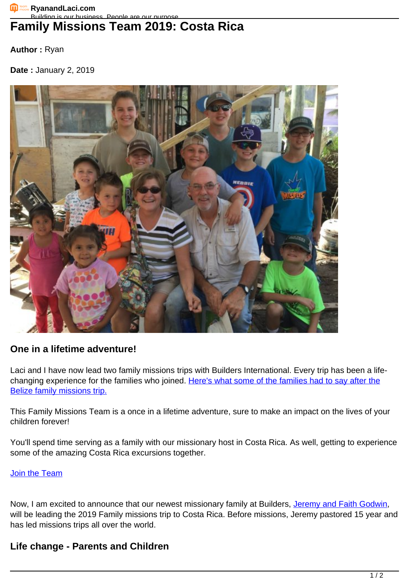**Author :** Ryan

**Date :** January 2, 2019



## **One in a lifetime adventure!**

Laci and I have now lead two family missions trips with Builders International. Every trip has been a life-changing experience for the families who joined. [Here's what some of the families had to say after the](https://vimeo.com/229344727) [Belize family missions trip.](https://vimeo.com/229344727)

This Family Missions Team is a once in a lifetime adventure, sure to make an impact on the lives of your children forever!

You'll spend time serving as a family with our missionary host in Costa Rica. As well, getting to experience some of the amazing Costa Rica excursions together.

## [Join the Team](https://buildersintl.org/team/family-team-costa-rica/)

Now, I am excited to announce that our newest missionary family at Builders, [Jeremy and Faith Godwin,](https://www.facebook.com/TheGodwinGroup/) will be leading the 2019 Family missions trip to Costa Rica. Before missions, Jeremy pastored 15 year and has led missions trips all over the world.

## **Life change - Parents and Children**